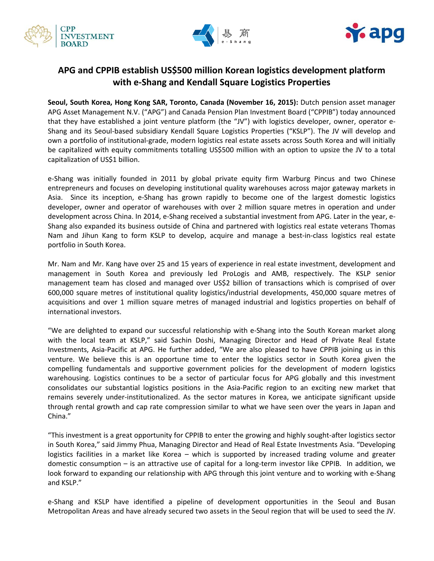





# **APG and CPPIB establish US\$500 million Korean logistics development platform with e-Shang and Kendall Square Logistics Properties**

**Seoul, South Korea, Hong Kong SAR, Toronto, Canada (November 16, 2015):** Dutch pension asset manager APG Asset Management N.V. ("APG") and Canada Pension Plan Investment Board ("CPPIB") today announced that they have established a joint venture platform (the "JV") with logistics developer, owner, operator e-Shang and its Seoul-based subsidiary Kendall Square Logistics Properties ("KSLP"). The JV will develop and own a portfolio of institutional-grade, modern logistics real estate assets across South Korea and will initially be capitalized with equity commitments totalling US\$500 million with an option to upsize the JV to a total capitalization of US\$1 billion.

e-Shang was initially founded in 2011 by global private equity firm Warburg Pincus and two Chinese entrepreneurs and focuses on developing institutional quality warehouses across major gateway markets in Asia. Since its inception, e-Shang has grown rapidly to become one of the largest domestic logistics developer, owner and operator of warehouses with over 2 million square metres in operation and under development across China. In 2014, e-Shang received a substantial investment from APG. Later in the year, e-Shang also expanded its business outside of China and partnered with logistics real estate veterans Thomas Nam and Jihun Kang to form KSLP to develop, acquire and manage a best-in-class logistics real estate portfolio in South Korea.

Mr. Nam and Mr. Kang have over 25 and 15 years of experience in real estate investment, development and management in South Korea and previously led ProLogis and AMB, respectively. The KSLP senior management team has closed and managed over US\$2 billion of transactions which is comprised of over 600,000 square metres of institutional quality logistics/industrial developments, 450,000 square metres of acquisitions and over 1 million square metres of managed industrial and logistics properties on behalf of international investors.

"We are delighted to expand our successful relationship with e-Shang into the South Korean market along with the local team at KSLP," said Sachin Doshi, Managing Director and Head of Private Real Estate Investments, Asia-Pacific at APG. He further added, "We are also pleased to have CPPIB joining us in this venture. We believe this is an opportune time to enter the logistics sector in South Korea given the compelling fundamentals and supportive government policies for the development of modern logistics warehousing. Logistics continues to be a sector of particular focus for APG globally and this investment consolidates our substantial logistics positions in the Asia-Pacific region to an exciting new market that remains severely under-institutionalized. As the sector matures in Korea, we anticipate significant upside through rental growth and cap rate compression similar to what we have seen over the years in Japan and China."

"This investment is a great opportunity for CPPIB to enter the growing and highly sought-after logistics sector in South Korea," said Jimmy Phua, Managing Director and Head of Real Estate Investments Asia. "Developing logistics facilities in a market like Korea – which is supported by increased trading volume and greater domestic consumption – is an attractive use of capital for a long-term investor like CPPIB. In addition, we look forward to expanding our relationship with APG through this joint venture and to working with e-Shang and KSLP."

e-Shang and KSLP have identified a pipeline of development opportunities in the Seoul and Busan Metropolitan Areas and have already secured two assets in the Seoul region that will be used to seed the JV.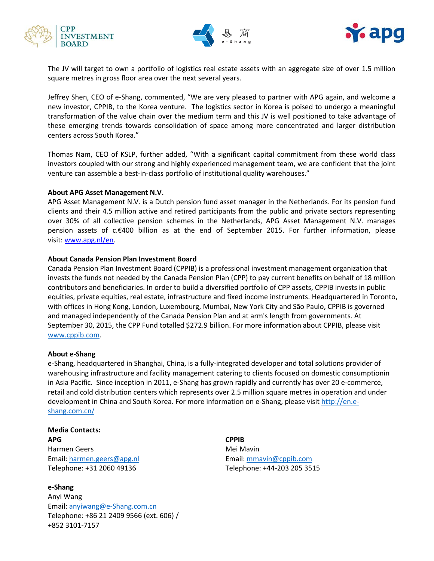





The JV will target to own a portfolio of logistics real estate assets with an aggregate size of over 1.5 million square metres in gross floor area over the next several years.

Jeffrey Shen, CEO of e-Shang, commented, "We are very pleased to partner with APG again, and welcome a new investor, CPPIB, to the Korea venture. The logistics sector in Korea is poised to undergo a meaningful transformation of the value chain over the medium term and this JV is well positioned to take advantage of these emerging trends towards consolidation of space among more concentrated and larger distribution centers across South Korea."

Thomas Nam, CEO of KSLP, further added, "With a significant capital commitment from these world class investors coupled with our strong and highly experienced management team, we are confident that the joint venture can assemble a best-in-class portfolio of institutional quality warehouses."

#### **About APG Asset Management N.V.**

APG Asset Management N.V. is a Dutch pension fund asset manager in the Netherlands. For its pension fund clients and their 4.5 million active and retired participants from the public and private sectors representing over 30% of all collective pension schemes in the Netherlands, APG Asset Management N.V. manages pension assets of c.€400 billion as at the end of September 2015. For further information, please visit: [www.apg.nl/en.](http://www.apg.nl/en)

#### **About Canada Pension Plan Investment Board**

Canada Pension Plan Investment Board (CPPIB) is a professional investment management organization that invests the funds not needed by the Canada Pension Plan (CPP) to pay current benefits on behalf of 18 million contributors and beneficiaries. In order to build a diversified portfolio of CPP assets, CPPIB invests in public equities, private equities, real estate, infrastructure and fixed income instruments. Headquartered in Toronto, with offices in Hong Kong, London, Luxembourg, Mumbai, New York City and São Paulo, CPPIB is governed and managed independently of the Canada Pension Plan and at arm's length from governments. At September 30, 2015, the CPP Fund totalled \$272.9 billion. For more information about CPPIB, please visit [www.cppib.com.](http://www.cppib.com/)

#### **About e-Shang**

e-Shang, headquartered in Shanghai, China, is a fully-integrated developer and total solutions provider of warehousing infrastructure and facility management catering to clients focused on domestic consumptionin in Asia Pacific. Since inception in 2011, e-Shang has grown rapidly and currently has over 20 e-commerce, retail and cold distribution centers which represents over 2.5 million square metres in operation and under development in China and South Korea. For more information on e-Shang, please visi[t http://en.e](http://en.e-shang.com.cn/)[shang.com.cn/](http://en.e-shang.com.cn/)

## **Media Contacts: APG**

Harmen Geers Email[: harmen.geers@apg.nl](mailto:harmen.geers@apg.nl) Telephone: +31 2060 49136

### **e-Shang** Anyi Wang Email[: anyiwang@e-Shang.com.cn](mailto:anyiwang@e-Shang.com.cn) Telephone: +86 21 2409 9566 (ext. 606) / +852 3101-7157

**CPPIB** Mei Mavin Email: [mmavin@cppib.com](mailto:mmavin@cppib.com) Telephone: +44-203 205 3515